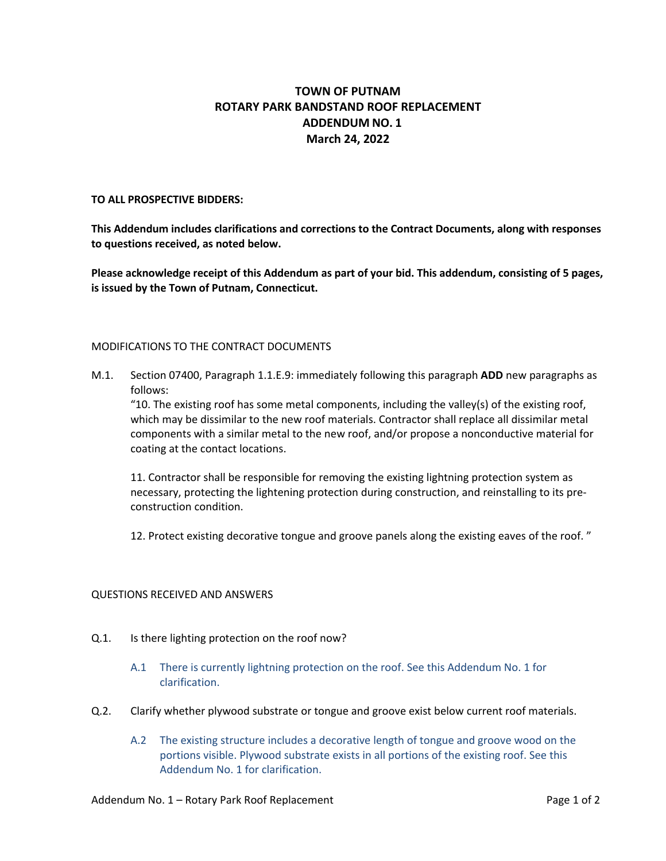## **TOWN OF PUTNAM ROTARY PARK BANDSTAND ROOF REPLACEMENT ADDENDUM NO. 1 March 24, 2022**

#### **TO ALL PROSPECTIVE BIDDERS:**

**This Addendum includes clarifications and corrections to the Contract Documents, along with responses to questions received, as noted below.**

**Please acknowledge receipt of this Addendum as part of your bid. This addendum, consisting of 5 pages, is issued by the Town of Putnam, Connecticut.**

#### MODIFICATIONS TO THE CONTRACT DOCUMENTS

M.1. Section 07400, Paragraph 1.1.E.9: immediately following this paragraph **ADD** new paragraphs as follows:

"10. The existing roof has some metal components, including the valley(s) of the existing roof, which may be dissimilar to the new roof materials. Contractor shall replace all dissimilar metal components with a similar metal to the new roof, and/or propose a nonconductive material for coating at the contact locations.

11. Contractor shall be responsible for removing the existing lightning protection system as necessary, protecting the lightening protection during construction, and reinstalling to its preconstruction condition.

12. Protect existing decorative tongue and groove panels along the existing eaves of the roof. "

#### QUESTIONS RECEIVED AND ANSWERS

- Q.1. Is there lighting protection on the roof now?
	- A.1 There is currently lightning protection on the roof. See this Addendum No. 1 for clarification.
- Q.2. Clarify whether plywood substrate or tongue and groove exist below current roof materials.
	- A.2 The existing structure includes a decorative length of tongue and groove wood on the portions visible. Plywood substrate exists in all portions of the existing roof. See this Addendum No. 1 for clarification.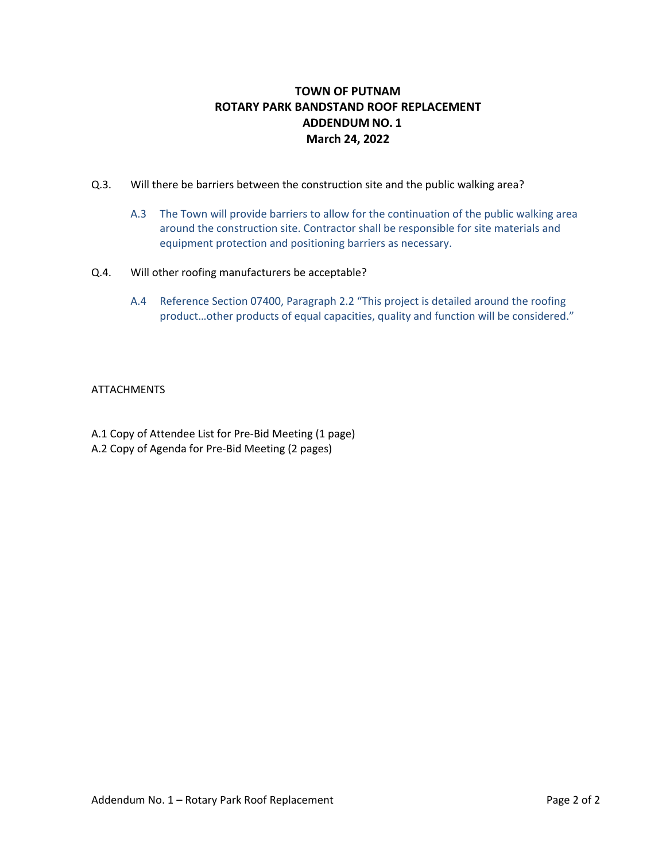# **TOWN OF PUTNAM ROTARY PARK BANDSTAND ROOF REPLACEMENT ADDENDUM NO. 1 March 24, 2022**

- Q.3. Will there be barriers between the construction site and the public walking area?
	- A.3 The Town will provide barriers to allow for the continuation of the public walking area around the construction site. Contractor shall be responsible for site materials and equipment protection and positioning barriers as necessary.
- Q.4. Will other roofing manufacturers be acceptable?
	- A.4 Reference Section 07400, Paragraph 2.2 "This project is detailed around the roofing product…other products of equal capacities, quality and function will be considered."

### **ATTACHMENTS**

A.1 Copy of Attendee List for Pre-Bid Meeting (1 page) A.2 Copy of Agenda for Pre-Bid Meeting (2 pages)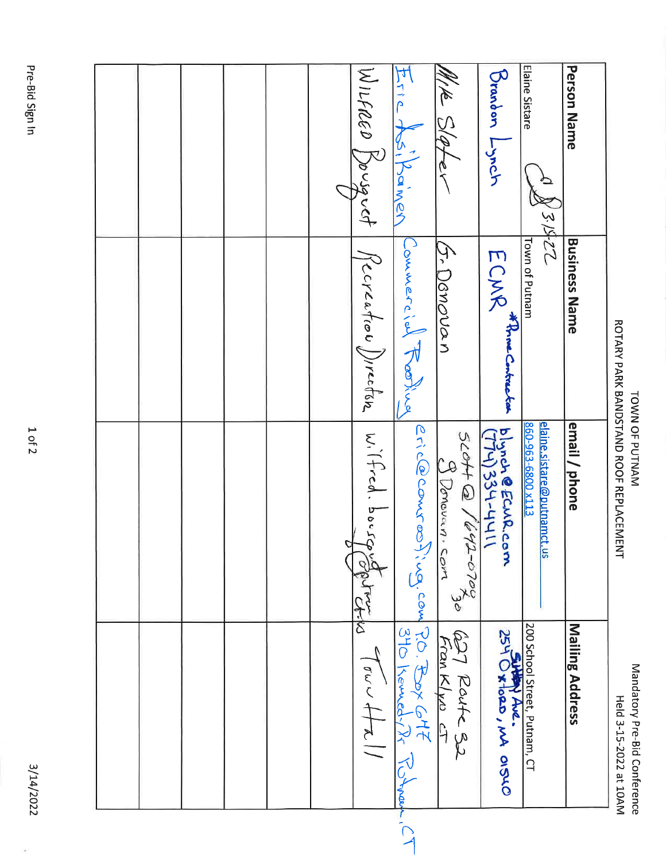| Wilheed Souguet<br>Eric Asilamer<br>MIK Sloter<br>Recreation Direction   Witted. bough<br>Commercial Reading<br>5. Danovan<br>eric@comroofina.com<br>$\frac{1}{5}$ cott @ /642-0702<br>3 Donovan com<br>نې<br>م<br>Li-ko | Elaine Sistare<br><b>Person Name</b><br>Deardon Linch<br>N31422<br>Town of Putnam<br><b>Business Name</b><br>ECMR Three-treeted<br>elaine.sistare@putnamct.us<br>860-963-6800 x113<br>email / phone<br>blynch @ECMR.com | ROTARY PARK BANDSTAND ROOF REPLACEMENT |
|--------------------------------------------------------------------------------------------------------------------------------------------------------------------------------------------------------------------------|-------------------------------------------------------------------------------------------------------------------------------------------------------------------------------------------------------------------------|----------------------------------------|
| $219 \times 22$<br>627 Route 32<br>Franklyn ct<br>$310$ Kemedy $\sqrt{2}$<br>$\int_{\sigma\omega}$ $\omega$ $\leftarrow$ $\leftarrow$ $\leftarrow$<br>J' from                                                            | 200 School Street, Putnam, CT<br>Mailing Address<br>SHAM AVE.<br>254 Oxtard, MA OISLO                                                                                                                                   | Held 3-15-2022 at 10AM                 |

TOWN OF PUTNAM

Mandatory Pre-Bid Conference

3/14/2022

 $\frac{1}{2}$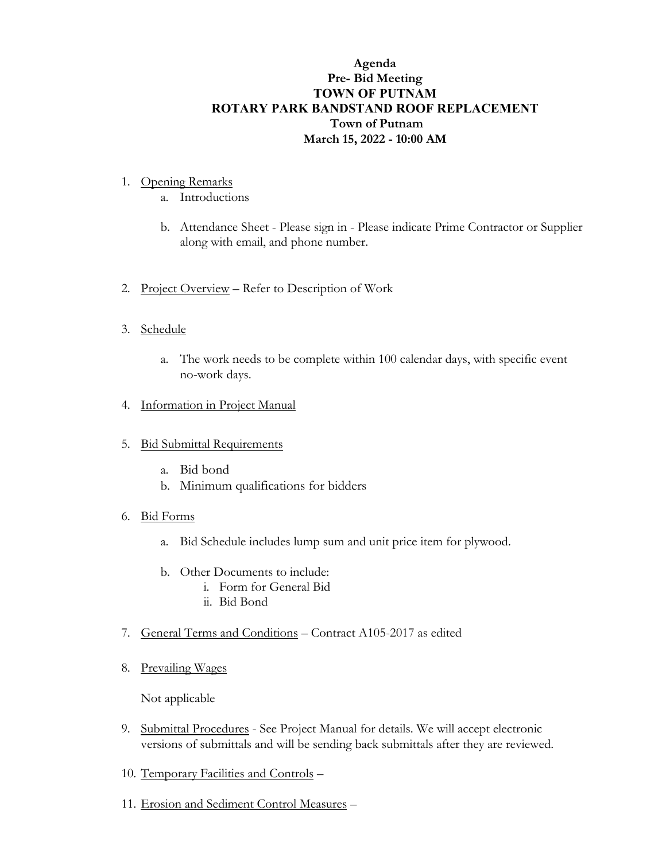# **Agenda Pre- Bid Meeting TOWN OF PUTNAM ROTARY PARK BANDSTAND ROOF REPLACEMENT Town of Putnam March 15, 2022 - 10:00 AM**

- 1. Opening Remarks
	- a. Introductions
	- b. Attendance Sheet Please sign in Please indicate Prime Contractor or Supplier along with email, and phone number.
- 2. Project Overview Refer to Description of Work
- 3. Schedule
	- a. The work needs to be complete within 100 calendar days, with specific event no-work days.
- 4. Information in Project Manual
- 5. Bid Submittal Requirements
	- a. Bid bond
	- b. Minimum qualifications for bidders
- 6. Bid Forms
	- a. Bid Schedule includes lump sum and unit price item for plywood.
	- b. Other Documents to include:
		- i. Form for General Bid
			- ii. Bid Bond
- 7. General Terms and Conditions Contract A105-2017 as edited
- 8. Prevailing Wages

Not applicable

- 9. Submittal Procedures See Project Manual for details. We will accept electronic versions of submittals and will be sending back submittals after they are reviewed.
- 10. Temporary Facilities and Controls –
- 11. Erosion and Sediment Control Measures –